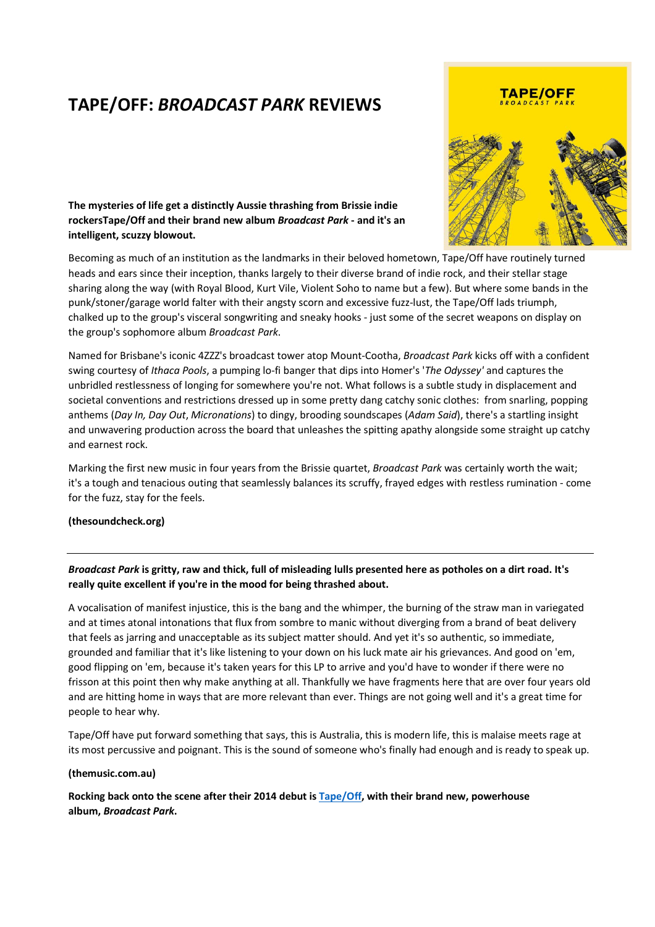# TAPE/OFF: BROADCAST PARK REVIEWS

**TAPE/OFF** 

The mysteries of life get a distinctly Aussie thrashing from Brissie indie rockersTape/Off and their brand new album Broadcast Park - and it's an intelligent, scuzzy blowout.

Becoming as much of an institution as the landmarks in their beloved hometown, Tape/Off have routinely turned heads and ears since their inception, thanks largely to their diverse brand of indie rock, and their stellar stage sharing along the way (with Royal Blood, Kurt Vile, Violent Soho to name but a few). But where some bands in the punk/stoner/garage world falter with their angsty scorn and excessive fuzz-lust, the Tape/Off lads triumph, chalked up to the group's visceral songwriting and sneaky hooks - just some of the secret weapons on display on the group's sophomore album Broadcast Park.

Named for Brisbane's iconic 4ZZZ's broadcast tower atop Mount-Cootha, Broadcast Park kicks off with a confident swing courtesy of Ithaca Pools, a pumping lo-fi banger that dips into Homer's 'The Odyssey' and captures the unbridled restlessness of longing for somewhere you're not. What follows is a subtle study in displacement and societal conventions and restrictions dressed up in some pretty dang catchy sonic clothes: from snarling, popping anthems (Day In, Day Out, Micronations) to dingy, brooding soundscapes (Adam Said), there's a startling insight and unwavering production across the board that unleashes the spitting apathy alongside some straight up catchy and earnest rock.

Marking the first new music in four years from the Brissie quartet, Broadcast Park was certainly worth the wait; it's a tough and tenacious outing that seamlessly balances its scruffy, frayed edges with restless rumination - come for the fuzz, stay for the feels.

#### (thesoundcheck.org)

# Broadcast Park is gritty, raw and thick, full of misleading lulls presented here as potholes on a dirt road. It's really quite excellent if you're in the mood for being thrashed about.

A vocalisation of manifest injustice, this is the bang and the whimper, the burning of the straw man in variegated and at times atonal intonations that flux from sombre to manic without diverging from a brand of beat delivery that feels as jarring and unacceptable as its subject matter should. And yet it's so authentic, so immediate, grounded and familiar that it's like listening to your down on his luck mate air his grievances. And good on 'em, good flipping on 'em, because it's taken years for this LP to arrive and you'd have to wonder if there were no frisson at this point then why make anything at all. Thankfully we have fragments here that are over four years old and are hitting home in ways that are more relevant than ever. Things are not going well and it's a great time for people to hear why.

Tape/Off have put forward something that says, this is Australia, this is modern life, this is malaise meets rage at its most percussive and poignant. This is the sound of someone who's finally had enough and is ready to speak up.

#### (themusic.com.au)

Rocking back onto the scene after their 2014 debut is Tape/Off, with their brand new, powerhouse album, Broadcast Park.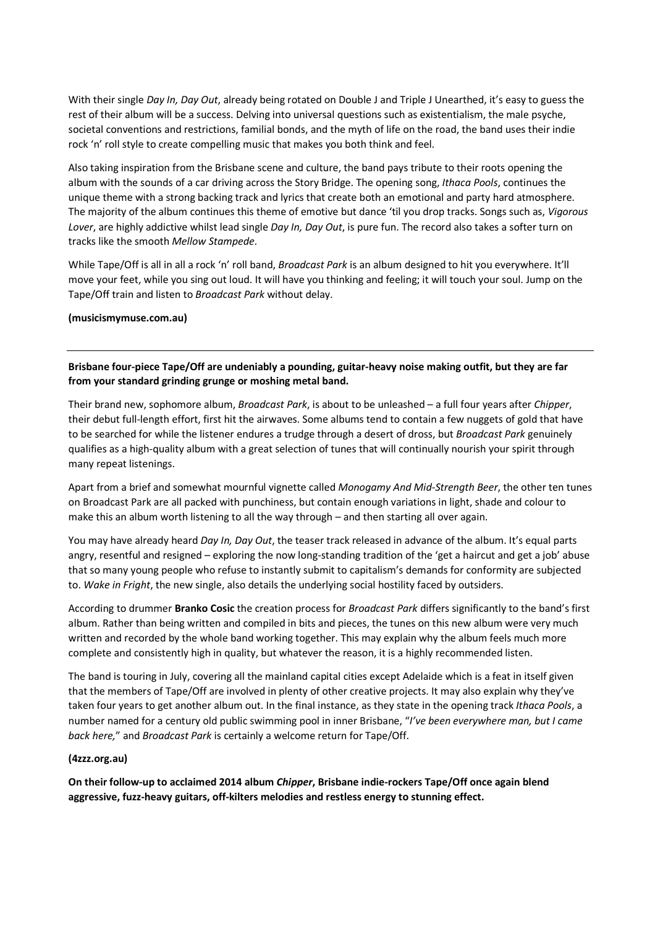With their single Day In, Day Out, already being rotated on Double J and Triple J Unearthed, it's easy to guess the rest of their album will be a success. Delving into universal questions such as existentialism, the male psyche, societal conventions and restrictions, familial bonds, and the myth of life on the road, the band uses their indie rock 'n' roll style to create compelling music that makes you both think and feel.

Also taking inspiration from the Brisbane scene and culture, the band pays tribute to their roots opening the album with the sounds of a car driving across the Story Bridge. The opening song, Ithaca Pools, continues the unique theme with a strong backing track and lyrics that create both an emotional and party hard atmosphere. The majority of the album continues this theme of emotive but dance 'til you drop tracks. Songs such as, Vigorous Lover, are highly addictive whilst lead single Day In, Day Out, is pure fun. The record also takes a softer turn on tracks like the smooth Mellow Stampede.

While Tape/Off is all in all a rock 'n' roll band, Broadcast Park is an album designed to hit you everywhere. It'll move your feet, while you sing out loud. It will have you thinking and feeling; it will touch your soul. Jump on the Tape/Off train and listen to Broadcast Park without delay.

#### (musicismymuse.com.au)

Brisbane four-piece Tape/Off are undeniably a pounding, guitar-heavy noise making outfit, but they are far from your standard grinding grunge or moshing metal band.

Their brand new, sophomore album, Broadcast Park, is about to be unleashed – a full four years after Chipper, their debut full-length effort, first hit the airwaves. Some albums tend to contain a few nuggets of gold that have to be searched for while the listener endures a trudge through a desert of dross, but Broadcast Park genuinely qualifies as a high-quality album with a great selection of tunes that will continually nourish your spirit through many repeat listenings.

Apart from a brief and somewhat mournful vignette called Monogamy And Mid-Strength Beer, the other ten tunes on Broadcast Park are all packed with punchiness, but contain enough variations in light, shade and colour to make this an album worth listening to all the way through – and then starting all over again.

You may have already heard Day In, Day Out, the teaser track released in advance of the album. It's equal parts angry, resentful and resigned – exploring the now long-standing tradition of the 'get a haircut and get a job' abuse that so many young people who refuse to instantly submit to capitalism's demands for conformity are subjected to. Wake in Fright, the new single, also details the underlying social hostility faced by outsiders.

According to drummer Branko Cosic the creation process for Broadcast Park differs significantly to the band's first album. Rather than being written and compiled in bits and pieces, the tunes on this new album were very much written and recorded by the whole band working together. This may explain why the album feels much more complete and consistently high in quality, but whatever the reason, it is a highly recommended listen.

The band is touring in July, covering all the mainland capital cities except Adelaide which is a feat in itself given that the members of Tape/Off are involved in plenty of other creative projects. It may also explain why they've taken four years to get another album out. In the final instance, as they state in the opening track Ithaca Pools, a number named for a century old public swimming pool in inner Brisbane, "I've been everywhere man, but I came back here," and Broadcast Park is certainly a welcome return for Tape/Off.

#### (4zzz.org.au)

On their follow-up to acclaimed 2014 album Chipper, Brisbane indie-rockers Tape/Off once again blend aggressive, fuzz-heavy guitars, off-kilters melodies and restless energy to stunning effect.